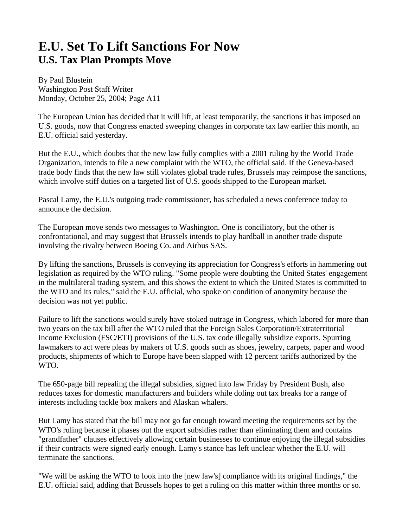## **E.U. Set To Lift Sanctions For Now U.S. Tax Plan Prompts Move**

By Paul Blustein Washington Post Staff Writer Monday, October 25, 2004; Page A11

The European Union has decided that it will lift, at least temporarily, the sanctions it has imposed on U.S. goods, now that Congress enacted sweeping changes in corporate tax law earlier this month, an E.U. official said yesterday.

But the E.U., which doubts that the new law fully complies with a 2001 ruling by the World Trade Organization, intends to file a new complaint with the WTO, the official said. If the Geneva-based trade body finds that the new law still violates global trade rules, Brussels may reimpose the sanctions, which involve stiff duties on a targeted list of U.S. goods shipped to the European market.

Pascal Lamy, the E.U.'s outgoing trade commissioner, has scheduled a news conference today to announce the decision.

The European move sends two messages to Washington. One is conciliatory, but the other is confrontational, and may suggest that Brussels intends to play hardball in another trade dispute involving the rivalry between Boeing Co. and Airbus SAS.

By lifting the sanctions, Brussels is conveying its appreciation for Congress's efforts in hammering out legislation as required by the WTO ruling. "Some people were doubting the United States' engagement in the multilateral trading system, and this shows the extent to which the United States is committed to the WTO and its rules," said the E.U. official, who spoke on condition of anonymity because the decision was not yet public.

Failure to lift the sanctions would surely have stoked outrage in Congress, which labored for more than two years on the tax bill after the WTO ruled that the Foreign Sales Corporation/Extraterritorial Income Exclusion (FSC/ETI) provisions of the U.S. tax code illegally subsidize exports. Spurring lawmakers to act were pleas by makers of U.S. goods such as shoes, jewelry, carpets, paper and wood products, shipments of which to Europe have been slapped with 12 percent tariffs authorized by the WTO.

The 650-page bill repealing the illegal subsidies, signed into law Friday by President Bush, also reduces taxes for domestic manufacturers and builders while doling out tax breaks for a range of interests including tackle box makers and Alaskan whalers.

But Lamy has stated that the bill may not go far enough toward meeting the requirements set by the WTO's ruling because it phases out the export subsidies rather than eliminating them and contains "grandfather" clauses effectively allowing certain businesses to continue enjoying the illegal subsidies if their contracts were signed early enough. Lamy's stance has left unclear whether the E.U. will terminate the sanctions.

"We will be asking the WTO to look into the [new law's] compliance with its original findings," the E.U. official said, adding that Brussels hopes to get a ruling on this matter within three months or so.